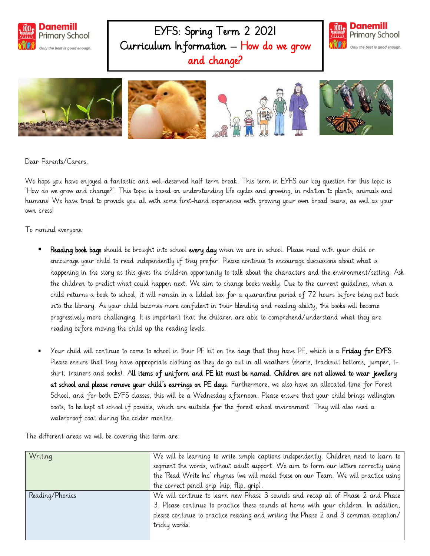

EYFS: Spring Term 2 2021 Curriculum Information – How do we grow and change?





Dear Parents/Carers,

We hope you have enjoyed a fantastic and well-deserved half term break. This term in EYFS our key question for this topic is 'How do we grow and change?'. This topic is based on understanding life cycles and growing, in relation to plants, animals and humans! We have tried to provide you all with some first-hand experiences with growing your own broad beans, as well as your own cress!

To remind everyone:

- Reading book bags should be brought into school every day when we are in school. Please read with your child or encourage your child to read independently if they prefer. Please continue to encourage discussions about what is happening in the story as this gives the children opportunity to talk about the characters and the environment/setting. Ask the children to predict what could happen next. We aim to change books weekly. Due to the current guidelines, when a child returns a book to school, it will remain in a lidded box for a quarantine period of 72 hours before being put back into the library. As your child becomes more confident in their blending and reading ability, the books will become progressively more challenging. It is important that the children are able to comprehend/understand what they are reading before moving the child up the reading levels.
- Your child will continue to come to school in their PE kit on the days that they have PE, which is a Friday for EYFS. Please ensure that they have appropriate clothing as they do go out in all weathers (shorts, tracksuit bottoms, jumper, tshirt, trainers and socks). All items of uniform and PE kit must be named. Children are not allowed to wear jewellery at school and please remove your child's earrings on PE days. Furthermore, we also have an allocated time for Forest School, and for both EYFS classes, this will be a Wednesday afternoon. Please ensure that your child brings wellington boots, to be kept at school if possible, which are suitable for the forest school environment. They will also need a waterproof coat during the colder months.

The different areas we will be covering this term are:

| Writing         | We will be learning to write simple captions independently. Children need to learn to |
|-----------------|---------------------------------------------------------------------------------------|
|                 | segment the words, without adult support. We aim to form our letters correctly using  |
|                 | the 'Read Write Inc' rhymes (we will model these on our Team. We will practice using  |
|                 | the correct pencil grip (nip, flip, grip).                                            |
| Reading/Phonics | We will continue to learn new Phase 3 sounds and recap all of Phase 2 and Phase       |
|                 | 3. Please continue to practice these sounds at home with your children. In addition,  |
|                 | please continue to practice reading and writing the Phase 2 and 3 common exception/   |
|                 | tricky words.                                                                         |
|                 |                                                                                       |